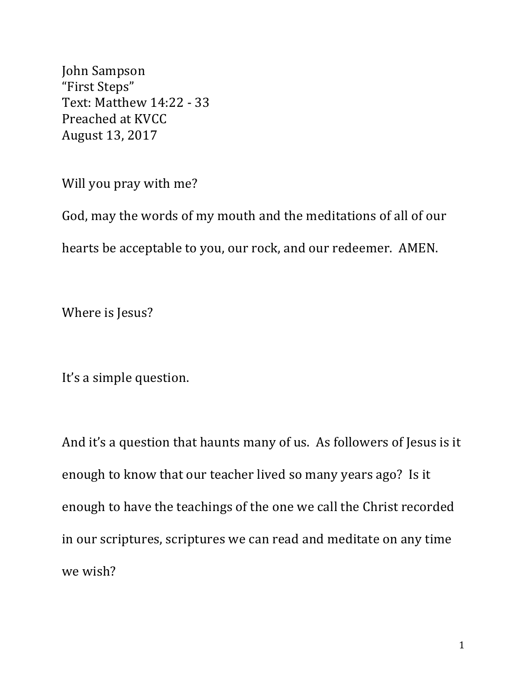John Sampson "First Steps" Text: Matthew 14:22 - 33 Preached at KVCC August 13, 2017

Will you pray with me?

God, may the words of my mouth and the meditations of all of our hearts be acceptable to you, our rock, and our redeemer. AMEN.

Where is Jesus?

It's a simple question.

And it's a question that haunts many of us. As followers of Jesus is it enough to know that our teacher lived so many years ago? Is it enough to have the teachings of the one we call the Christ recorded in our scriptures, scriptures we can read and meditate on any time we wish?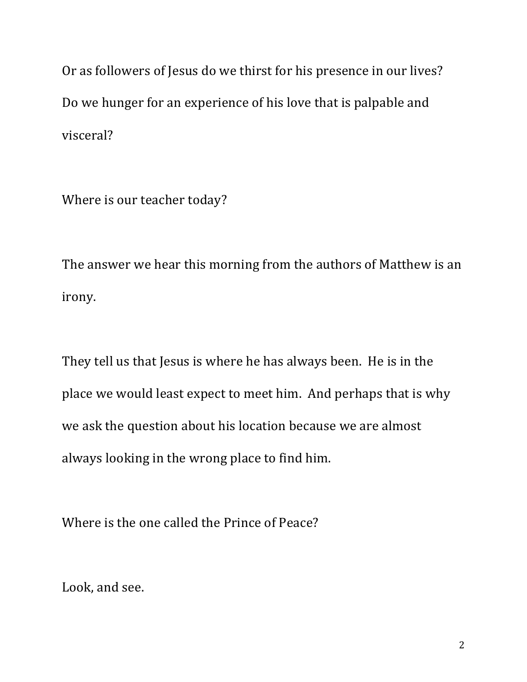Or as followers of Jesus do we thirst for his presence in our lives? Do we hunger for an experience of his love that is palpable and visceral?

Where is our teacher today?

The answer we hear this morning from the authors of Matthew is an irony.

They tell us that Jesus is where he has always been. He is in the place we would least expect to meet him. And perhaps that is why we ask the question about his location because we are almost always looking in the wrong place to find him.

Where is the one called the Prince of Peace?

Look, and see.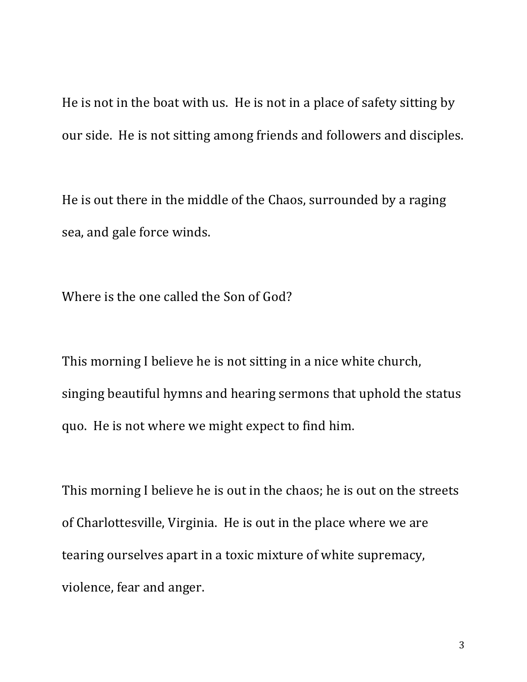He is not in the boat with us. He is not in a place of safety sitting by our side. He is not sitting among friends and followers and disciples.

He is out there in the middle of the Chaos, surrounded by a raging sea, and gale force winds.

Where is the one called the Son of God?

This morning I believe he is not sitting in a nice white church, singing beautiful hymns and hearing sermons that uphold the status quo. He is not where we might expect to find him.

This morning I believe he is out in the chaos; he is out on the streets of Charlottesville, Virginia. He is out in the place where we are tearing ourselves apart in a toxic mixture of white supremacy, violence, fear and anger.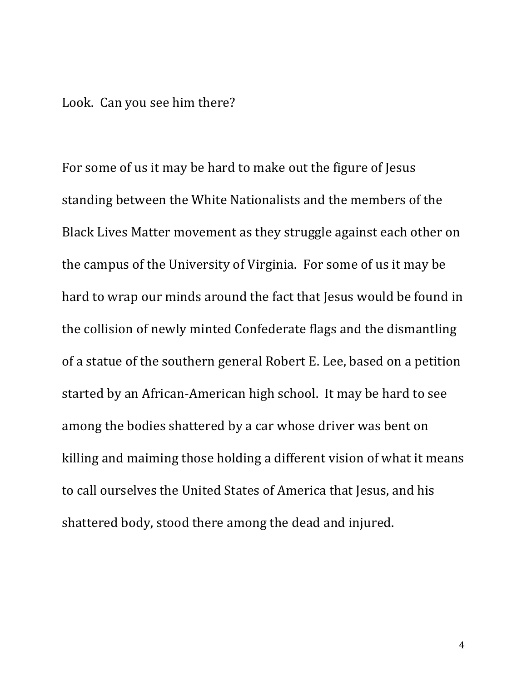## Look. Can you see him there?

For some of us it may be hard to make out the figure of Jesus standing between the White Nationalists and the members of the Black Lives Matter movement as they struggle against each other on the campus of the University of Virginia. For some of us it may be hard to wrap our minds around the fact that Jesus would be found in the collision of newly minted Confederate flags and the dismantling of a statue of the southern general Robert E. Lee, based on a petition started by an African-American high school. It may be hard to see among the bodies shattered by a car whose driver was bent on killing and maiming those holding a different vision of what it means to call ourselves the United States of America that Jesus, and his shattered body, stood there among the dead and injured.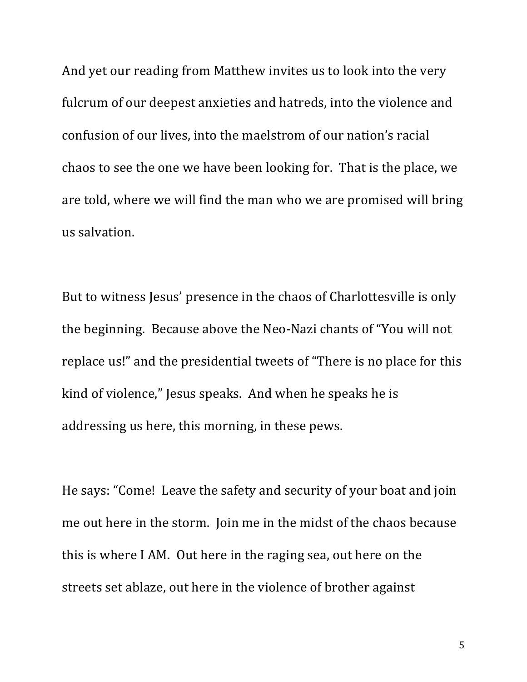And yet our reading from Matthew invites us to look into the very fulcrum of our deepest anxieties and hatreds, into the violence and confusion of our lives, into the maelstrom of our nation's racial chaos to see the one we have been looking for. That is the place, we are told, where we will find the man who we are promised will bring us salvation.

But to witness Jesus' presence in the chaos of Charlottesville is only the beginning. Because above the Neo-Nazi chants of "You will not replace us!" and the presidential tweets of "There is no place for this kind of violence," Jesus speaks. And when he speaks he is addressing us here, this morning, in these pews.

He says: "Come! Leave the safety and security of your boat and join me out here in the storm. Join me in the midst of the chaos because this is where I AM. Out here in the raging sea, out here on the streets set ablaze, out here in the violence of brother against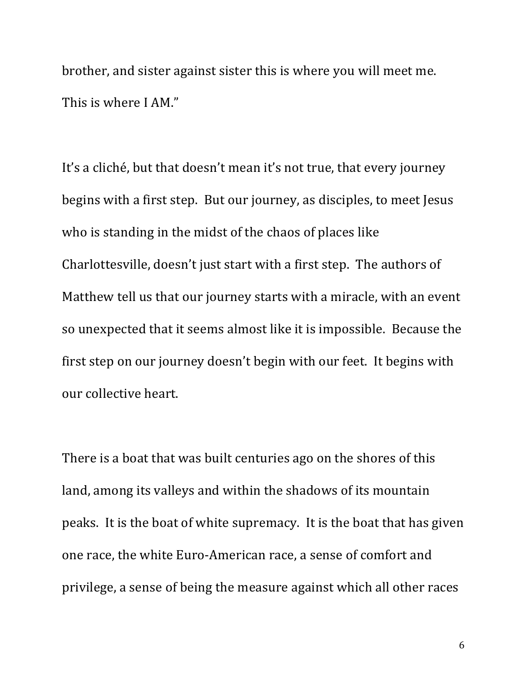brother, and sister against sister this is where you will meet me. This is where I AM."

It's a cliché, but that doesn't mean it's not true, that every journey begins with a first step. But our journey, as disciples, to meet Jesus who is standing in the midst of the chaos of places like Charlottesville, doesn't just start with a first step. The authors of Matthew tell us that our journey starts with a miracle, with an event so unexpected that it seems almost like it is impossible. Because the first step on our journey doesn't begin with our feet. It begins with our collective heart.

There is a boat that was built centuries ago on the shores of this land, among its valleys and within the shadows of its mountain peaks. It is the boat of white supremacy. It is the boat that has given one race, the white Euro-American race, a sense of comfort and privilege, a sense of being the measure against which all other races

6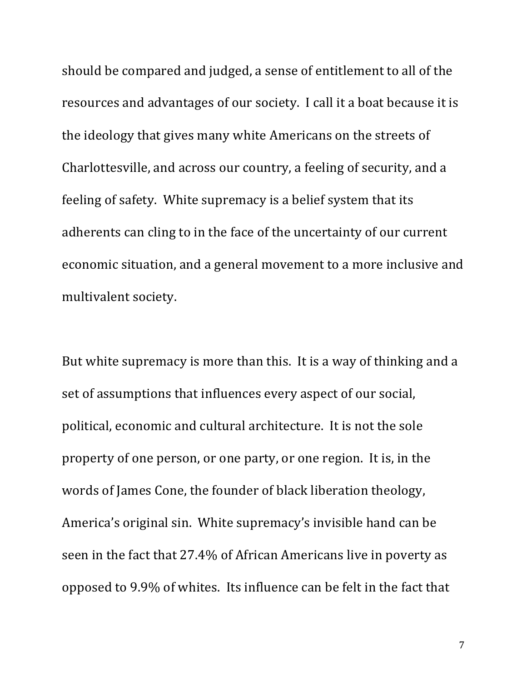should be compared and judged, a sense of entitlement to all of the resources and advantages of our society. I call it a boat because it is the ideology that gives many white Americans on the streets of Charlottesville, and across our country, a feeling of security, and a feeling of safety. White supremacy is a belief system that its adherents can cling to in the face of the uncertainty of our current economic situation, and a general movement to a more inclusive and multivalent society.

But white supremacy is more than this. It is a way of thinking and a set of assumptions that influences every aspect of our social, political, economic and cultural architecture. It is not the sole property of one person, or one party, or one region. It is, in the words of James Cone, the founder of black liberation theology, America's original sin. White supremacy's invisible hand can be seen in the fact that 27.4% of African Americans live in poverty as opposed to 9.9% of whites. Its influence can be felt in the fact that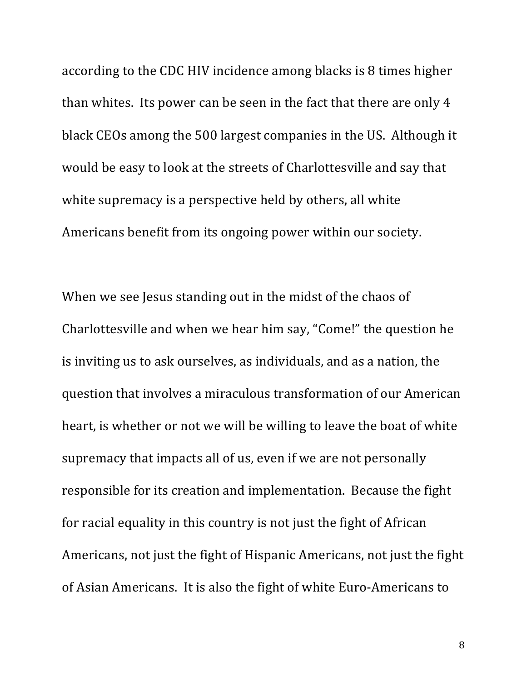according to the CDC HIV incidence among blacks is 8 times higher than whites. Its power can be seen in the fact that there are only 4 black CEOs among the 500 largest companies in the US. Although it would be easy to look at the streets of Charlottesville and say that white supremacy is a perspective held by others, all white Americans benefit from its ongoing power within our society.

When we see Jesus standing out in the midst of the chaos of Charlottesville and when we hear him say, "Come!" the question he is inviting us to ask ourselves, as individuals, and as a nation, the question that involves a miraculous transformation of our American heart, is whether or not we will be willing to leave the boat of white supremacy that impacts all of us, even if we are not personally responsible for its creation and implementation. Because the fight for racial equality in this country is not just the fight of African Americans, not just the fight of Hispanic Americans, not just the fight of Asian Americans. It is also the fight of white Euro-Americans to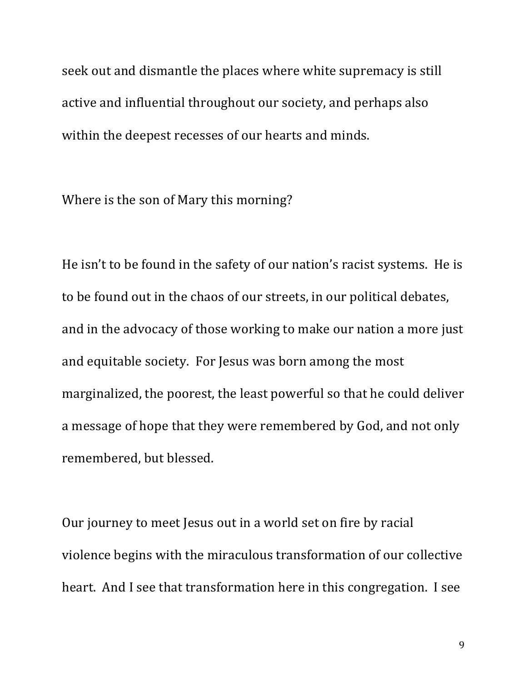seek out and dismantle the places where white supremacy is still active and influential throughout our society, and perhaps also within the deepest recesses of our hearts and minds.

Where is the son of Mary this morning?

He isn't to be found in the safety of our nation's racist systems. He is to be found out in the chaos of our streets, in our political debates, and in the advocacy of those working to make our nation a more just and equitable society. For Jesus was born among the most marginalized, the poorest, the least powerful so that he could deliver a message of hope that they were remembered by God, and not only remembered, but blessed.

Our journey to meet Jesus out in a world set on fire by racial violence begins with the miraculous transformation of our collective heart. And I see that transformation here in this congregation. I see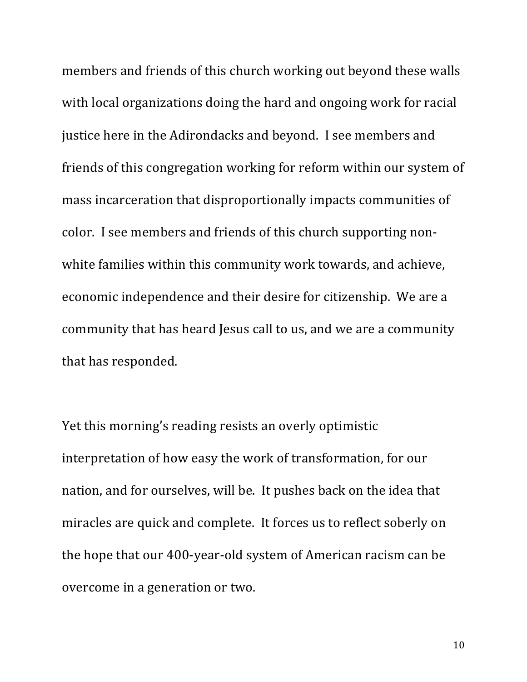members and friends of this church working out beyond these walls with local organizations doing the hard and ongoing work for racial justice here in the Adirondacks and beyond. I see members and friends of this congregation working for reform within our system of mass incarceration that disproportionally impacts communities of color. I see members and friends of this church supporting nonwhite families within this community work towards, and achieve, economic independence and their desire for citizenship. We are a community that has heard Jesus call to us, and we are a community that has responded.

Yet this morning's reading resists an overly optimistic interpretation of how easy the work of transformation, for our nation, and for ourselves, will be. It pushes back on the idea that miracles are quick and complete. It forces us to reflect soberly on the hope that our 400-year-old system of American racism can be overcome in a generation or two.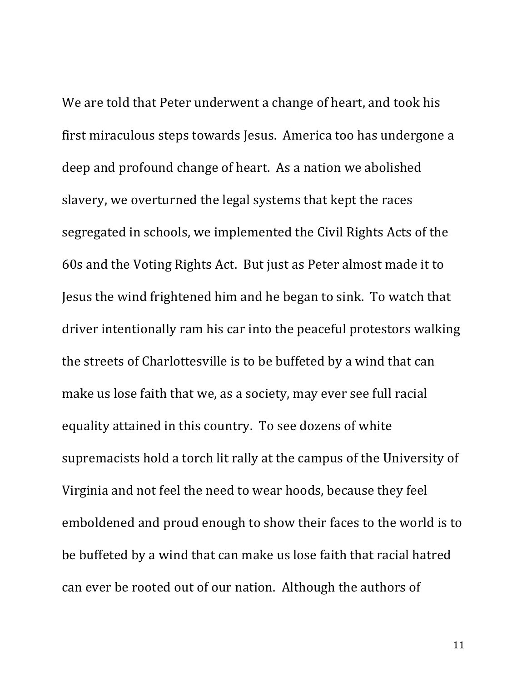We are told that Peter underwent a change of heart, and took his first miraculous steps towards Jesus. America too has undergone a deep and profound change of heart. As a nation we abolished slavery, we overturned the legal systems that kept the races segregated in schools, we implemented the Civil Rights Acts of the 60s and the Voting Rights Act. But just as Peter almost made it to Jesus the wind frightened him and he began to sink. To watch that driver intentionally ram his car into the peaceful protestors walking the streets of Charlottesville is to be buffeted by a wind that can make us lose faith that we, as a society, may ever see full racial equality attained in this country. To see dozens of white supremacists hold a torch lit rally at the campus of the University of Virginia and not feel the need to wear hoods, because they feel emboldened and proud enough to show their faces to the world is to be buffeted by a wind that can make us lose faith that racial hatred can ever be rooted out of our nation. Although the authors of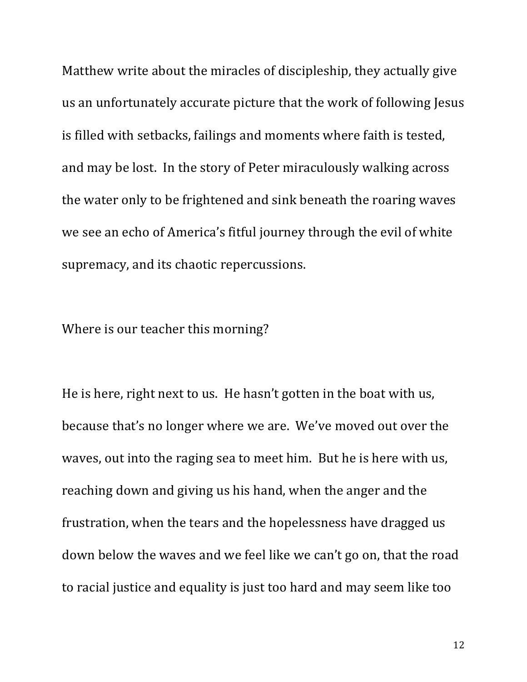Matthew write about the miracles of discipleship, they actually give us an unfortunately accurate picture that the work of following Jesus is filled with setbacks, failings and moments where faith is tested, and may be lost. In the story of Peter miraculously walking across the water only to be frightened and sink beneath the roaring waves we see an echo of America's fitful journey through the evil of white supremacy, and its chaotic repercussions.

Where is our teacher this morning?

He is here, right next to us. He hasn't gotten in the boat with us, because that's no longer where we are. We've moved out over the waves, out into the raging sea to meet him. But he is here with us, reaching down and giving us his hand, when the anger and the frustration, when the tears and the hopelessness have dragged us down below the waves and we feel like we can't go on, that the road to racial justice and equality is just too hard and may seem like too

12